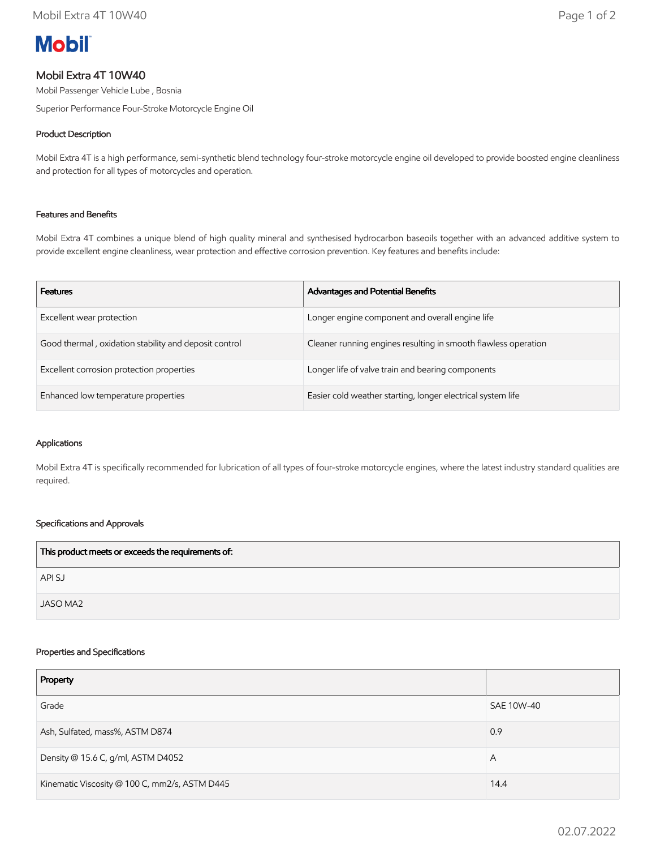# **Mobil**

# Mobil Extra 4T 10W40

Mobil Passenger Vehicle Lube , Bosnia

Superior Performance Four-Stroke Motorcycle Engine Oil

# Product Description

Mobil Extra 4T is a high performance, semi-synthetic blend technology four-stroke motorcycle engine oil developed to provide boosted engine cleanliness and protection for all types of motorcycles and operation.

## Features and Benefits

Mobil Extra 4T combines a unique blend of high quality mineral and synthesised hydrocarbon baseoils together with an advanced additive system to provide excellent engine cleanliness, wear protection and effective corrosion prevention. Key features and benefits include:

| <b>Features</b>                                       | <b>Advantages and Potential Benefits</b>                       |
|-------------------------------------------------------|----------------------------------------------------------------|
| Excellent wear protection                             | Longer engine component and overall engine life                |
| Good thermal, oxidation stability and deposit control | Cleaner running engines resulting in smooth flawless operation |
| Excellent corrosion protection properties             | Longer life of valve train and bearing components              |
| Enhanced low temperature properties                   | Easier cold weather starting, longer electrical system life    |

#### Applications

Mobil Extra 4T is specifically recommended for lubrication of all types of four-stroke motorcycle engines, where the latest industry standard qualities are required.

## Specifications and Approvals

| This product meets or exceeds the requirements of: |  |
|----------------------------------------------------|--|
| API SJ                                             |  |
| JASO MA2                                           |  |

#### Properties and Specifications

| Property                                      |            |
|-----------------------------------------------|------------|
| Grade                                         | SAE 10W-40 |
| Ash, Sulfated, mass%, ASTM D874               | 0.9        |
| Density @ 15.6 C, g/ml, ASTM D4052            | A          |
| Kinematic Viscosity @ 100 C, mm2/s, ASTM D445 | 14.4       |